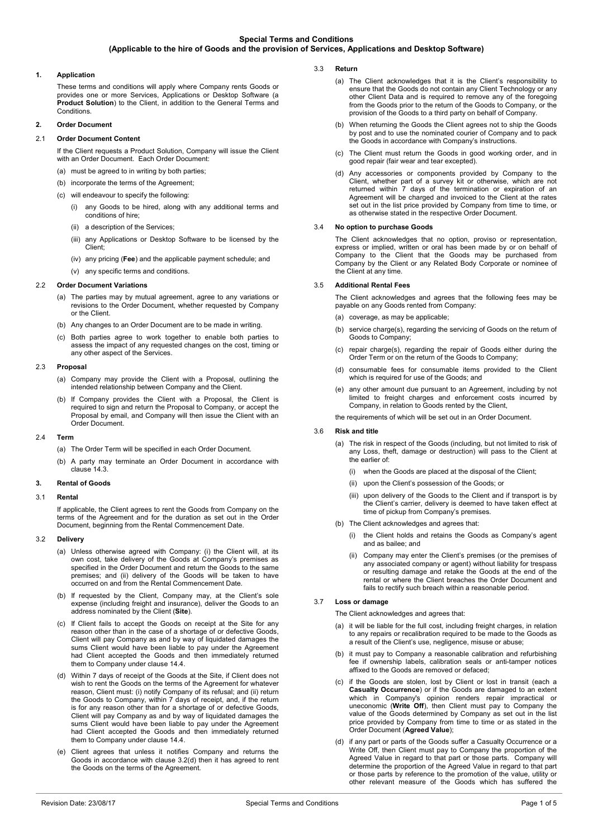# **1. Application**

These terms and conditions will apply where Company rents Goods or provides one or more Services, Applications or Desktop Software (a **Product Solution**) to the Client, in addition to the General Terms and Conditions.

## **2. Order Document**

### 2.1 **Order Document Content**

If the Client requests a Product Solution, Company will issue the Client with an Order Document. Each Order Document:

- (a) must be agreed to in writing by both parties;
- (b) incorporate the terms of the Agreement
- (c) will endeavour to specify the following:
	- (i) any Goods to be hired, along with any additional terms and conditions of hire;
	- (ii) a description of the Services;
	- (iii) any Applications or Desktop Software to be licensed by the Client;
	- (iv) any pricing (**Fee**) and the applicable payment schedule; and
	- (v) any specific terms and conditions.

### 2.2 **Order Document Variations**

- (a) The parties may by mutual agreement, agree to any variations or revisions to the Order Document, whether requested by Company or the Client.
- (b) Any changes to an Order Document are to be made in writing.
- (c) Both parties agree to work together to enable both parties to assess the impact of any requested changes on the cost, timing or any other aspect of the Services.

### 2.3 **Proposal**

- (a) Company may provide the Client with a Proposal, outlining the intended relationship between Company and the Client.
- (b) If Company provides the Client with a Proposal, the Client is required to sign and return the Proposal to Company, or accept the Proposal by email, and Company will then issue the Client with an Order Document.

### 2.4 **Term**

- (a) The Order Term will be specified in each Order Document.
- (b) A party may terminate an Order Document in accordance with clause [14.3.](#page-3-0)

# **3. Rental of Goods**

### 3.1 **Rental**

If applicable, the Client agrees to rent the Goods from Company on the terms of the Agreement and for the duration as set out in the Order Document, beginning from the Rental Commencement Date.

### 3.2 **Delivery**

- (a) Unless otherwise agreed with Company: (i) the Client will, at its own cost, take delivery of the Goods at Company's premises as specified in the Order Document and return the Goods to the same premises; and (ii) delivery of the Goods will be taken to have occurred on and from the Rental Commencement Date.
- (b) If requested by the Client, Company may, at the Client's sole expense (including freight and insurance), deliver the Goods to an address nominated by the Client (**Site**).
- (c) If Client fails to accept the Goods on receipt at the Site for any reason other than in the case of a shortage of or defective Goods, Client will pay Company as and by way of liquidated damages the sums Client would have been liable to pay under the Agreement had Client accepted the Goods and then immediately returned them to Company under clause [14.4.](#page-3-1)
- <span id="page-0-0"></span>(d) Within 7 days of receipt of the Goods at the Site, if Client does not wish to rent the Goods on the terms of the Agreement for whatever reason, Client must: (i) notify Company of its refusal; and (ii) return the Goods to Company, within 7 days of receipt, and, if the return is for any reason other than for a shortage of or defective Goods, Client will pay Company as and by way of liquidated damages the sums Client would have been liable to pay under the Agreement had Client accepted the Goods and then immediately returned them to Company under claus[e 14.4.](#page-3-1)
- (e) Client agrees that unless it notifies Company and returns the Goods in accordance with clause [3.2\(d\)](#page-0-0) then it has agreed to rent the Goods on the terms of the Agreement.
- 3.3 **Return** 
	- (a) The Client acknowledges that it is the Client's responsibility to ensure that the Goods do not contain any Client Technology or any other Client Data and is required to remove any of the foregoing from the Goods prior to the return of the Goods to Company, or the provision of the Goods to a third party on behalf of Company.
	- (b) When returning the Goods the Client agrees not to ship the Goods by post and to use the nominated courier of Company and to pack the Goods in accordance with Company's instructions.
	- (c) The Client must return the Goods in good working order, and in good repair (fair wear and tear excepted).
	- (d) Any accessories or components provided by Company to the Client, whether part of a survey kit or otherwise, which are not returned within 7 days of the termination or expiration of an Agreement will be charged and invoiced to the Client at the rates set out in the list price provided by Company from time to time, or as otherwise stated in the respective Order Document.

## <span id="page-0-3"></span>3.4 **No option to purchase Goods**

The Client acknowledges that no option, proviso or representation, express or implied, written or oral has been made by or on behalf of Company to the Client that the Goods may be purchased from Company by the Client or any Related Body Corporate or nominee of the Client at any time.

### 3.5 **Additional Rental Fees**

The Client acknowledges and agrees that the following fees may be payable on any Goods rented from Company:

- (a) coverage, as may be applicable:
- (b) service charge(s), regarding the servicing of Goods on the return of Goods to Company;
- (c) repair charge(s), regarding the repair of Goods either during the Order Term or on the return of the Goods to Company;
- (d) consumable fees for consumable items provided to the Client which is required for use of the Goods; and
- (e) any other amount due pursuant to an Agreement, including by not limited to freight charges and enforcement costs incurred by Company, in relation to Goods rented by the Client,

the requirements of which will be set out in an Order Document.

### 3.6 **Risk and title**

- (a) The risk in respect of the Goods (including, but not limited to risk of any Loss, theft, damage or destruction) will pass to the Client at the earlier of:
	- (i) when the Goods are placed at the disposal of the Client;
	- (ii) upon the Client's possession of the Goods; or
	- (iii) upon delivery of the Goods to the Client and if transport is by the Client's carrier, delivery is deemed to have taken effect at time of pickup from Company's premises.
- (b) The Client acknowledges and agrees that:
	- (i) the Client holds and retains the Goods as Company's agent and as bailee; and
	- Company may enter the Client's premises (or the premises of any associated company or agent) without liability for trespass or resulting damage and retake the Goods at the end of the rental or where the Client breaches the Order Document and fails to rectify such breach within a reasonable period.

# 3.7 **Loss or damage**

The Client acknowledges and agrees that:

- (a) it will be liable for the full cost, including freight charges, in relation to any repairs or recalibration required to be made to the Goods as a result of the Client's use, negligence, misuse or abuse;
- (b) it must pay to Company a reasonable calibration and refurbishing fee if ownership labels, calibration seals or anti-tamper notices affixed to the Goods are removed or defaced;
- <span id="page-0-1"></span>(c) if the Goods are stolen, lost by Client or lost in transit (each a **Casualty Occurrence**) or if the Goods are damaged to an extent which in Company's opinion renders repair impractical or uneconomic (**Write Off**), then Client must pay to Company the value of the Goods determined by Company as set out in the list price provided by Company from time to time or as stated in the Order Document (**Agreed Value**);
- <span id="page-0-2"></span>(d) if any part or parts of the Goods suffer a Casualty Occurrence or a Write Off, then Client must pay to Company the proportion of the Agreed Value in regard to that part or those parts. Company will determine the proportion of the Agreed Value in regard to that part or those parts by reference to the promotion of the value, utility or other relevant measure of the Goods which has suffered the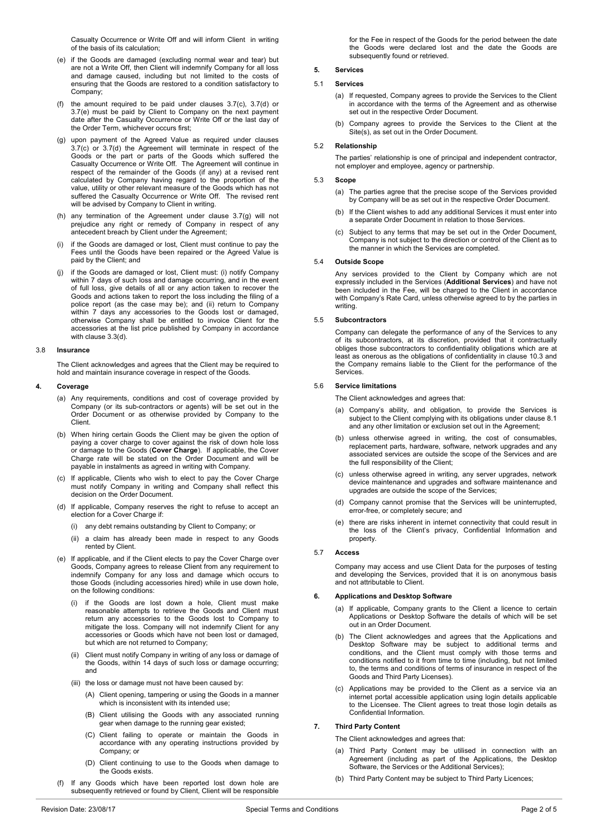Casualty Occurrence or Write Off and will inform Client in writing of the basis of its calculation;

- <span id="page-1-0"></span>(e) if the Goods are damaged (excluding normal wear and tear) but are not a Write Off, then Client will indemnify Company for all loss and damage caused, including but not limited to the costs of ensuring that the Goods are restored to a condition satisfactory to Company;
- (f) the amount required to be paid under clauses [3.7\(c\),](#page-0-1) [3.7\(d\)](#page-0-2) or [3.7\(e\)](#page-1-0) must be paid by Client to Company on the next payment date after the Casualty Occurrence or Write Off or the last day of the Order Term, whichever occurs first;
- <span id="page-1-1"></span>(g) upon payment of the Agreed Value as required under clauses [3.7\(c\)](#page-0-1) or [3.7\(d\)](#page-0-2) the Agreement will terminate in respect of the Goods or the part or parts of the Goods which suffered the Casualty Occurrence or Write Off. The Agreement will continue in respect of the remainder of the Goods (if any) at a revised rent calculated by Company having regard to the proportion of the value, utility or other relevant measure of the Goods which has not suffered the Casualty Occurrence or Write Off. The revised rent will be advised by Company to Client in writing.
- (h) any termination of the Agreement under clause [3.7\(g\)](#page-1-1) will not prejudice any right or remedy of Company in respect of any antecedent breach by Client under the Agreement;
- (i) if the Goods are damaged or lost, Client must continue to pay the Fees until the Goods have been repaired or the Agreed Value is paid by the Client; and
- <span id="page-1-2"></span>(j) if the Goods are damaged or lost, Client must: (i) notify Company within 7 days of such loss and damage occurring, and in the event of full loss, give details of all or any action taken to recover the Goods and actions taken to report the loss including the filing of a police report (as the case may be); and (ii) return to Company within 7 days any accessories to the Goods lost or damaged, otherwise Company shall be entitled to invoice Client for the accessories at the list price published by Company in accordance with clause [3.3\(d\).](#page-0-3)

#### 3.8 **Insurance**

The Client acknowledges and agrees that the Client may be required to hold and maintain insurance coverage in respect of the Goods.

### **4. Coverage**

- (a) Any requirements, conditions and cost of coverage provided by Company (or its sub-contractors or agents) will be set out in the Order Document or as otherwise provided by Company to the Client.
- (b) When hiring certain Goods the Client may be given the option of paying a cover charge to cover against the risk of down hole loss or damage to the Goods (**Cover Charge**). If applicable, the Cover Charge rate will be stated on the Order Document and will be payable in instalments as agreed in writing with Company.
- (c) If applicable, Clients who wish to elect to pay the Cover Charge must notify Company in writing and Company shall reflect this decision on the Order Document.
- (d) If applicable, Company reserves the right to refuse to accept an election for a Cover Charge if:
	- (i) any debt remains outstanding by Client to Company; or
	- (ii) a claim has already been made in respect to any Goods rented by Client.
- (e) If applicable, and if the Client elects to pay the Cover Charge over Goods, Company agrees to release Client from any requirement to indemnify Company for any loss and damage which occurs to those Goods (including accessories hired) while in use down hole, on the following conditions:
	- (i) if the Goods are lost down a hole, Client must make reasonable attempts to retrieve the Goods and Client must return any accessories to the Goods lost to Company to mitigate the loss. Company will not indemnify Client for any accessories or Goods which have not been lost or damaged, but which are not returned to Company;
	- (ii) Client must notify Company in writing of any loss or damage of the Goods, within 14 days of such loss or damage occurring; and
	- (iii) the loss or damage must not have been caused by:
		- (A) Client opening, tampering or using the Goods in a manner which is inconsistent with its intended use:
		- (B) Client utilising the Goods with any associated running gear when damage to the running gear existed;
		- (C) Client failing to operate or maintain the Goods in accordance with any operating instructions provided by Company; or
		- (D) Client continuing to use to the Goods when damage to the Goods exists.
- (f) If any Goods which have been reported lost down hole are subsequently retrieved or found by Client, Client will be responsible

for the Fee in respect of the Goods for the period between the date the Goods were declared lost and the date the Goods are subsequently found or retrieved.

#### **5. Services**

### 5.1 **Services**

- (a) If requested, Company agrees to provide the Services to the Client in accordance with the terms of the Agreement and as otherwise set out in the respective Order Document.
- (b) Company agrees to provide the Services to the Client at the Site(s), as set out in the Order Document.

### 5.2 **Relationship**

The parties' relationship is one of principal and independent contractor, not employer and employee, agency or partnership.

## 5.3 **Scope**

- (a) The parties agree that the precise scope of the Services provided by Company will be as set out in the respective Order Document.
- (b) If the Client wishes to add any additional Services it must enter into a separate Order Document in relation to those Services.
- (c) Subject to any terms that may be set out in the Order Document, Company is not subject to the direction or control of the Client as to the manner in which the Services are completed.

#### 5.4 **Outside Scope**

Any services provided to the Client by Company which are not expressly included in the Services (**Additional Services**) and have not been included in the Fee, will be charged to the Client in accordance with Company's Rate Card, unless otherwise agreed to by the parties in writing.

#### 5.5 **Subcontractors**

Company can delegate the performance of any of the Services to any of its subcontractors, at its discretion, provided that it contractually obliges those subcontractors to confidentiality obligations which are at least as onerous as the obligations of confidentiality in claus[e 10.3](#page-2-0) and the Company remains liable to the Client for the performance of the **Services** 

# 5.6 **Service limitations**

- The Client acknowledges and agrees that:
- (a) Company's ability, and obligation, to provide the Services is subject to the Client complying with its obligations under claus[e 8.1](#page-2-1) and any other limitation or exclusion set out in the Agreement;
- (b) unless otherwise agreed in writing, the cost of consumables, replacement parts, hardware, software, network upgrades and any associated services are outside the scope of the Services and are the full responsibility of the Client;
- (c) unless otherwise agreed in writing, any server upgrades, network device maintenance and upgrades and software maintenance and upgrades are outside the scope of the Services;
- (d) Company cannot promise that the Services will be uninterrupted, error-free, or completely secure; and
- (e) there are risks inherent in internet connectivity that could result in the loss of the Client's privacy, Confidential Information and property.

#### 5.7 **Access**

Company may access and use Client Data for the purposes of testing and developing the Services, provided that it is on anonymous basis and not attributable to Client.

## **6. Applications and Desktop Software**

- (a) If applicable, Company grants to the Client a licence to certain Applications or Desktop Software the details of which will be set out in an Order Document.
- (b) The Client acknowledges and agrees that the Applications and Desktop Software may be subject to additional terms and conditions, and the Client must comply with those terms and conditions notified to it from time to time (including, but not limited to, the terms and conditions of terms of insurance in respect of the Goods and Third Party Licenses).
- Applications may be provided to the Client as a service via an internet portal accessible application using login details applicable to the Licensee. The Client agrees to treat those login details as Confidential Information.

# **7. Third Party Content**

The Client acknowledges and agrees that:

- (a) Third Party Content may be utilised in connection with an Agreement (including as part of the Applications, the Desktop Software, the Services or the Additional Services);
- (b) Third Party Content may be subject to Third Party Licences;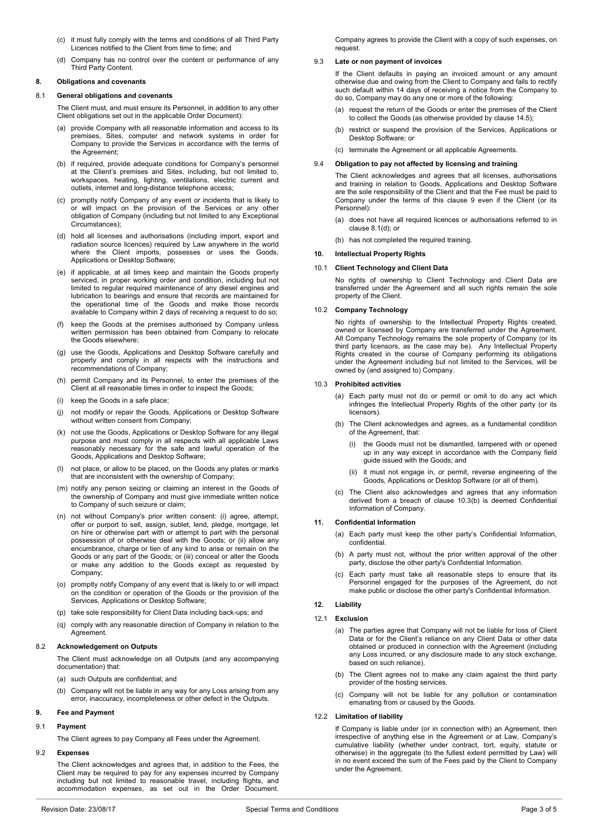- (c) it must fully comply with the terms and conditions of all Third Party Licences notified to the Client from time to time; and
- (d) Company has no control over the content or performance of any Third Party Content.

## **8. Obligations and covenants**

### <span id="page-2-1"></span>8.1 **General obligations and covenants**

The Client must, and must ensure its Personnel, in addition to any other Client obligations set out in the applicable Order Document):

- (a) provide Company with all reasonable information and access to its premises, Sites, computer and network systems in order for Company to provide the Services in accordance with the terms of the Agreement;
- (b) if required, provide adequate conditions for Company's personnel at the Client's premises and Sites, including, but not limited to, workspaces, heating, lighting, ventilations, electric current and outlets, internet and long-distance telephone access;
- (c) promptly notify Company of any event or incidents that is likely to or will impact on the provision of the Services or any other obligation of Company (including but not limited to any Exceptional Circumstances);
- <span id="page-2-3"></span>(d) hold all licenses and authorisations (including import, export and radiation source licences) required by Law anywhere in the world where the Client imports, possesses or uses the Goods, Applications or Desktop Software;
- <span id="page-2-6"></span>(e) if applicable, at all times keep and maintain the Goods properly serviced, in proper working order and condition, including but not limited to regular required maintenance of any diesel engines and lubrication to bearings and ensure that records are maintained for the operational time of the Goods and make those records available to Company within 2 days of receiving a request to do so;
- (f) keep the Goods at the premises authorised by Company unless written permission has been obtained from Company to relocate the Goods elsewhere;
- (g) use the Goods, Applications and Desktop Software carefully and properly and comply in all respects with the instructions and recommendations of Company;
- (h) permit Company and its Personnel, to enter the premises of the Client at all reasonable times in order to inspect the Goods;
- (i) keep the Goods in a safe place;
- (j) not modify or repair the Goods, Applications or Desktop Software without written consent from Company;
- (k) not use the Goods, Applications or Desktop Software for any illegal purpose and must comply in all respects with all applicable Laws reasonably necessary for the safe and lawful operation of the Goods, Applications and Desktop Software;
- (l) not place, or allow to be placed, on the Goods any plates or marks that are inconsistent with the ownership of Company;
- (m) notify any person seizing or claiming an interest in the Goods of the ownership of Company and must give immediate written notice to Company of such seizure or claim;
- (n) not without Company's prior written consent: (i) agree, attempt, offer or purport to sell, assign, sublet, lend, pledge, mortgage, let on hire or otherwise part with or attempt to part with the personal possession of or otherwise deal with the Goods; or (ii) allow any encumbrance, charge or lien of any kind to arise or remain on the Goods or any part of the Goods; or (iii) conceal or alter the Goods or make any addition to the Goods except as requested by Company;
- (o) promptly notify Company of any event that is likely to or will impact on the condition or operation of the Goods or the provision of the Services, Applications or Desktop Software;
- (p) take sole responsibility for Client Data including back-ups; and
- (q) comply with any reasonable direction of Company in relation to the **Agreement**

# 8.2 **Acknowledgement on Outputs**

The Client must acknowledge on all Outputs (and any accompanying documentation) that:

(a) such Outputs are confidential; and

(b) Company will not be liable in any way for any Loss arising from any error, inaccuracy, incompleteness or other defect in the Outputs.

### <span id="page-2-2"></span>**9. Fee and Payment**

### 9.1 **Payment**

The Client agrees to pay Company all Fees under the Agreement.

### 9.2 **Expenses**

The Client acknowledges and agrees that, in addition to the Fees, the Client may be required to pay for any expenses incurred by Company including but not limited to reasonable travel, including flights, and accommodation expenses, as set out in the Order Document.

Company agrees to provide the Client with a copy of such expenses, on request.

## <span id="page-2-5"></span>9.3 **Late or non payment of invoices**

If the Client defaults in paying an invoiced amount or any amount otherwise due and owing from the Client to Company and fails to rectify such default within 14 days of receiving a notice from the Company to do so, Company may do any one or more of the following:

- (a) request the return of the Goods or enter the premises of the Client to collect the Goods (as otherwise provided by claus[e 14.5\)](#page-3-2);
- (b) restrict or suspend the provision of the Services, Applications or Desktop Software; or
- (c) terminate the Agreement or all applicable Agreements.

### 9.4 **Obligation to pay not affected by licensing and training**

The Client acknowledges and agrees that all licenses, authorisations and training in relation to Goods, Applications and Desktop Software are the sole responsibility of the Client and that the Fee must be paid to Company under the terms of this clause [9](#page-2-2) even if the Client (or its Personnel):

- (a) does not have all required licences or authorisations referred to in clause [8.1\(d\);](#page-2-3) or
- (b) has not completed the required training.

### <span id="page-2-7"></span>**10. Intellectual Property Rights**

### 10.1 **Client Technology and Client Data**

No rights of ownership to Client Technology and Client Data are transferred under the Agreement and all such rights remain the sole property of the Client.

### 10.2 **Company Technology**

No rights of ownership to the Intellectual Property Rights created, owned or licensed by Company are transferred under the Agreement. All Company Technology remains the sole property of Company (or its third party licensors, as the case may be). Any Intellectual Property Rights created in the course of Company performing its obligations under the Agreement including but not limited to the Services, will be owned by (and assigned to) Company.

## <span id="page-2-0"></span>10.3 **Prohibited activities**

- (a) Each party must not do or permit or omit to do any act which infringes the Intellectual Property Rights of the other party (or its licensors).
- <span id="page-2-4"></span>(b) The Client acknowledges and agrees, as a fundamental condition of the Agreement, that:
	- the Goods must not be dismantled, tampered with or opened up in any way except in accordance with the Company field guide issued with the Goods; and
	- (ii) it must not engage in, or permit, reverse engineering of the Goods, Applications or Desktop Software (or all of them).
- (c) The Client also acknowledges and agrees that any information derived from a breach of clause [10.3\(b\)](#page-2-4) is deemed Confidential Information of Company.

### **11. Confidential Information**

- (a) Each party must keep the other party's Confidential Information, confidential.
- (b) A party must not, without the prior written approval of the other party, disclose the other party's Confidential Information.
- (c) Each party must take all reasonable steps to ensure that its Personnel engaged for the purposes of the Agreement, do not make public or disclose the other party's Confidential Information.

# <span id="page-2-8"></span>**12. Liability**

## 12.1 **Exclusion**

- (a) The parties agree that Company will not be liable for loss of Client Data or for the Client's reliance on any Client Data or other data obtained or produced in connection with the Agreement (including any Loss incurred, or any disclosure made to any stock exchange, based on such reliance).
- (b) The Client agrees not to make any claim against the third party provider of the hosting services.
- (c) Company will not be liable for any pollution or contamination emanating from or caused by the Goods.

# 12.2 **Limitation of liability**

If Company is liable under (or in connection with) an Agreement, then irrespective of anything else in the Agreement or at Law, Company's cumulative liability (whether under contract, tort, equity, statute or otherwise) in the aggregate (to the fullest extent permitted by Law) will in no event exceed the sum of the Fees paid by the Client to Company under the Agreement.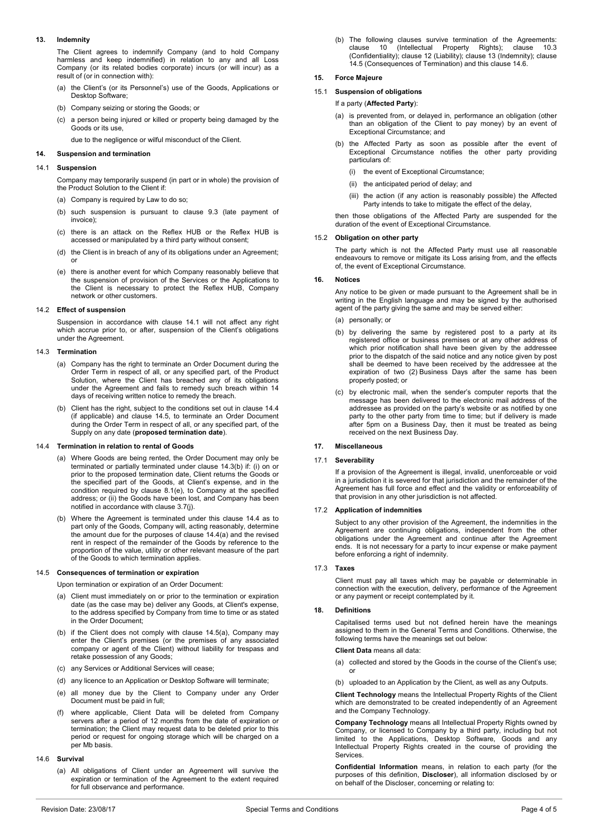## <span id="page-3-7"></span>**13. Indemnity**

The Client agrees to indemnify Company (and to hold Company harmless and keep indemnified) in relation to any and all Loss Company (or its related bodies corporate) incurs (or will incur) as a result of (or in connection with):

- (a) the Client's (or its Personnel's) use of the Goods, Applications or Desktop Software;
- (b) Company seizing or storing the Goods; or
- (c) a person being injured or killed or property being damaged by the Goods or its use,

due to the negligence or wilful misconduct of the Client.

### **14. Suspension and termination**

### <span id="page-3-3"></span>14.1 **Suspension**

Company may temporarily suspend (in part or in whole) the provision of the Product Solution to the Client if:

- (a) Company is required by Law to do so;
- (b) such suspension is pursuant to clause [9.3](#page-2-5) (late payment of invoice);
- (c) there is an attack on the Reflex HUB or the Reflex HUB is accessed or manipulated by a third party without consent;
- (d) the Client is in breach of any of its obligations under an Agreement; or
- (e) there is another event for which Company reasonably believe that the suspension of provision of the Services or the Applications to the Client is necessary to protect the Reflex HUB, Company network or other customers.

### 14.2 **Effect of suspension**

Suspension in accordance with clause [14.1](#page-3-3) will not affect any right which accrue prior to, or after, suspension of the Client's obligations under the Agreement.

### <span id="page-3-0"></span>14.3 **Termination**

- (a) Company has the right to terminate an Order Document during the Order Term in respect of all, or any specified part, of the Product Solution, where the Client has breached any of its obligations under the Agreement and fails to remedy such breach within 14 days of receiving written notice to remedy the breach.
- <span id="page-3-4"></span>(b) Client has the right, subject to the conditions set out in clause [14.4](#page-3-1) (if applicable) and clause [14.5,](#page-3-2) to terminate an Order Document during the Order Term in respect of all, or any specified part, of the Supply on any date (**proposed termination date**).

### <span id="page-3-5"></span><span id="page-3-1"></span>14.4 **Termination in relation to rental of Goods**

- (a) Where Goods are being rented, the Order Document may only be terminated or partially terminated under claus[e 14.3\(b\)](#page-3-4) if: (i) on or prior to the proposed termination date, Client returns the Goods or the specified part of the Goods, at Client's expense, and in the condition required by clause [8.1\(e\),](#page-2-6) to Company at the specified address; or (ii) the Goods have been lost, and Company has been notified in accordance with clause [3.7\(j\).](#page-1-2)
- (b) Where the Agreement is terminated under this clause [14.4](#page-3-1) as to part only of the Goods, Company will, acting reasonably, determine the amount due for the purposes of clause [14.4\(a\)](#page-3-5) and the revised rent in respect of the remainder of the Goods by reference to the proportion of the value, utility or other relevant measure of the part of the Goods to which termination applies.

### <span id="page-3-6"></span><span id="page-3-2"></span>14.5 **Consequences of termination or expiration**

Upon termination or expiration of an Order Document:

- (a) Client must immediately on or prior to the termination or expiration date (as the case may be) deliver any Goods, at Client's expense, to the address specified by Company from time to time or as stated in the Order Document;
- (b) if the Client does not comply with clause [14.5\(a\),](#page-3-6) Company may enter the Client's premises (or the premises of any associated company or agent of the Client) without liability for trespass and retake possession of any Goods;
- (c) any Services or Additional Services will cease;
- (d) any licence to an Application or Desktop Software will terminate;
- (e) all money due by the Client to Company under any Order Document must be paid in full;
- where applicable, Client Data will be deleted from Company servers after a period of 12 months from the date of expiration or termination; the Client may request data to be deleted prior to this period or request for ongoing storage which will be charged on a per Mb basis.

### <span id="page-3-8"></span>14.6 **Survival**

(a) All obligations of Client under an Agreement will survive the expiration or termination of the Agreement to the extent required for full observance and performance.

(b) The following clauses survive termination of the Agreements: clause [10](#page-2-7) (Intellectual Property Rights); clause [10.3](#page-2-0) (Confidentiality); clause [12](#page-2-8) (Liability); clause [13](#page-3-7) (Indemnity); clause [14.5](#page-3-2) (Consequences of Termination) and this claus[e 14.6.](#page-3-8)

# **15. Force Majeure**

# 15.1 **Suspension of obligations**

### If a party (**Affected Party**):

- (a) is prevented from, or delayed in, performance an obligation (other than an obligation of the Client to pay money) by an event of Exceptional Circumstance; and
- (b) the Affected Party as soon as possible after the event of Exceptional Circumstance notifies the other party providing particulars of:
	- (i) the event of Exceptional Circumstance;
	- (ii) the anticipated period of delay; and
	- (iii) the action (if any action is reasonably possible) the Affected Party intends to take to mitigate the effect of the delay,

then those obligations of the Affected Party are suspended for the duration of the event of Exceptional Circumstance.

### 15.2 **Obligation on other party**

The party which is not the Affected Party must use all reasonable endeavours to remove or mitigate its Loss arising from, and the effects of, the event of Exceptional Circumstance.

### **16. Notices**

Any notice to be given or made pursuant to the Agreement shall be in writing in the English language and may be signed by the authorised agent of the party giving the same and may be served either:

- (a) personally; or
- (b) by delivering the same by registered post to a party at its registered office or business premises or at any other address of which prior notification shall have been given by the addressee prior to the dispatch of the said notice and any notice given by post shall be deemed to have been received by the addressee at the expiration of two (2) Business Days after the same has been properly posted; or
- (c) by electronic mail, when the sender's computer reports that the message has been delivered to the electronic mail address of the addressee as provided on the party's website or as notified by one party to the other party from time to time; but if delivery is made after 5pm on a Business Day, then it must be treated as being received on the next Business Day.

### **17. Miscellaneous**

# 17.1 **Severability**

If a provision of the Agreement is illegal, invalid, unenforceable or void in a jurisdiction it is severed for that jurisdiction and the remainder of the Agreement has full force and effect and the validity or enforceability of that provision in any other jurisdiction is not affected.

### 17.2 **Application of indemnities**

Subject to any other provision of the Agreement, the indemnities in the Agreement are continuing obligations, independent from the other obligations under the Agreement and continue after the Agreement ends. It is not necessary for a party to incur expense or make payment before enforcing a right of indemnity.

## 17.3 **Taxes**

Client must pay all taxes which may be payable or determinable in connection with the execution, delivery, performance of the Agreement or any payment or receipt contemplated by it.

## **18. Definitions**

Capitalised terms used but not defined herein have the meanings assigned to them in the General Terms and Conditions. Otherwise, the following terms have the meanings set out below:

### **Client Data** means all data:

- (a) collected and stored by the Goods in the course of the Client's use; or
- (b) uploaded to an Application by the Client, as well as any Outputs.

**Client Technology** means the Intellectual Property Rights of the Client which are demonstrated to be created independently of an Agreement and the Company Technology.

**Company Technology** means all Intellectual Property Rights owned by Company, or licensed to Company by a third party, including but not limited to the Applications, Desktop Software, Goods and any Intellectual Property Rights created in the course of providing the Services.

**Confidential Information** means, in relation to each party (for the purposes of this definition, **Discloser**), all information disclosed by or on behalf of the Discloser, concerning or relating to: